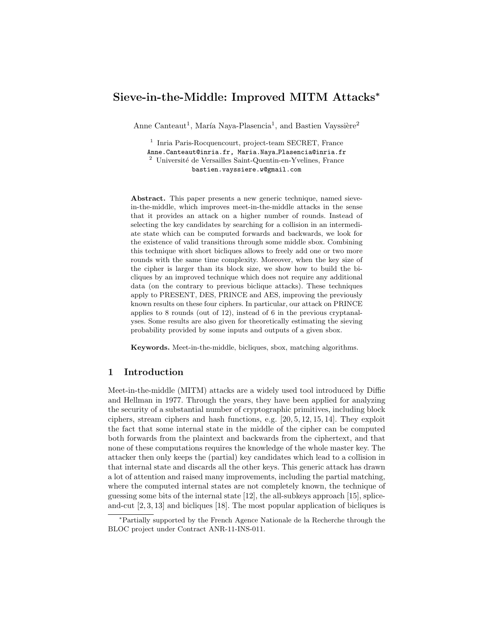# Sieve-in-the-Middle: Improved MITM Attacks<sup>∗</sup>

Anne Canteaut<sup>1</sup>, María Naya-Plasencia<sup>1</sup>, and Bastien Vayssière<sup>2</sup>

<sup>1</sup> Inria Paris-Rocquencourt, project-team SECRET, France Anne.Canteaut@inria.fr, Maria.Naya Plasencia@inria.fr  $2$  Université de Versailles Saint-Quentin-en-Yvelines, France bastien.vayssiere.w@gmail.com

Abstract. This paper presents a new generic technique, named sievein-the-middle, which improves meet-in-the-middle attacks in the sense that it provides an attack on a higher number of rounds. Instead of selecting the key candidates by searching for a collision in an intermediate state which can be computed forwards and backwards, we look for the existence of valid transitions through some middle sbox. Combining this technique with short bicliques allows to freely add one or two more rounds with the same time complexity. Moreover, when the key size of the cipher is larger than its block size, we show how to build the bicliques by an improved technique which does not require any additional data (on the contrary to previous biclique attacks). These techniques apply to PRESENT, DES, PRINCE and AES, improving the previously known results on these four ciphers. In particular, our attack on PRINCE applies to 8 rounds (out of 12), instead of 6 in the previous cryptanalyses. Some results are also given for theoretically estimating the sieving probability provided by some inputs and outputs of a given sbox.

Keywords. Meet-in-the-middle, bicliques, sbox, matching algorithms.

## 1 Introduction

Meet-in-the-middle (MITM) attacks are a widely used tool introduced by Diffie and Hellman in 1977. Through the years, they have been applied for analyzing the security of a substantial number of cryptographic primitives, including block ciphers, stream ciphers and hash functions, e.g. [20, 5, 12, 15, 14]. They exploit the fact that some internal state in the middle of the cipher can be computed both forwards from the plaintext and backwards from the ciphertext, and that none of these computations requires the knowledge of the whole master key. The attacker then only keeps the (partial) key candidates which lead to a collision in that internal state and discards all the other keys. This generic attack has drawn a lot of attention and raised many improvements, including the partial matching, where the computed internal states are not completely known, the technique of guessing some bits of the internal state [12], the all-subkeys approach [15], spliceand-cut [2, 3, 13] and bicliques [18]. The most popular application of bicliques is

<sup>∗</sup>Partially supported by the French Agence Nationale de la Recherche through the BLOC project under Contract ANR-11-INS-011.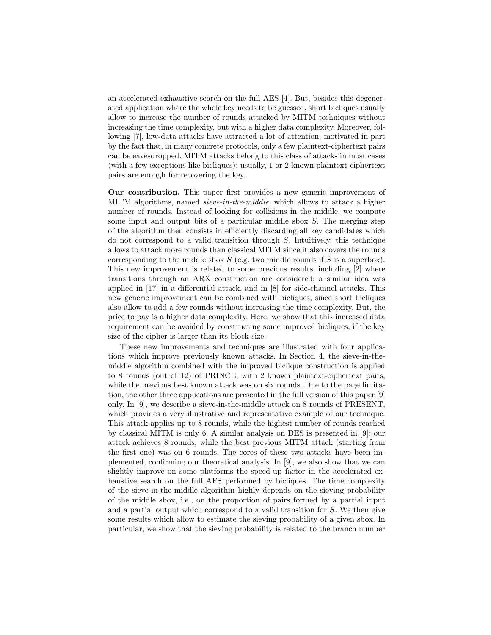an accelerated exhaustive search on the full AES [4]. But, besides this degenerated application where the whole key needs to be guessed, short bicliques usually allow to increase the number of rounds attacked by MITM techniques without increasing the time complexity, but with a higher data complexity. Moreover, following [7], low-data attacks have attracted a lot of attention, motivated in part by the fact that, in many concrete protocols, only a few plaintext-ciphertext pairs can be eavesdropped. MITM attacks belong to this class of attacks in most cases (with a few exceptions like bicliques): usually, 1 or 2 known plaintext-ciphertext pairs are enough for recovering the key.

Our contribution. This paper first provides a new generic improvement of MITM algorithms, named *sieve-in-the-middle*, which allows to attack a higher number of rounds. Instead of looking for collisions in the middle, we compute some input and output bits of a particular middle sbox S. The merging step of the algorithm then consists in efficiently discarding all key candidates which do not correspond to a valid transition through S. Intuitively, this technique allows to attack more rounds than classical MITM since it also covers the rounds corresponding to the middle sbox  $S$  (e.g. two middle rounds if  $S$  is a superbox). This new improvement is related to some previous results, including [2] where transitions through an ARX construction are considered; a similar idea was applied in [17] in a differential attack, and in [8] for side-channel attacks. This new generic improvement can be combined with bicliques, since short bicliques also allow to add a few rounds without increasing the time complexity. But, the price to pay is a higher data complexity. Here, we show that this increased data requirement can be avoided by constructing some improved bicliques, if the key size of the cipher is larger than its block size.

These new improvements and techniques are illustrated with four applications which improve previously known attacks. In Section 4, the sieve-in-themiddle algorithm combined with the improved biclique construction is applied to 8 rounds (out of 12) of PRINCE, with 2 known plaintext-ciphertext pairs, while the previous best known attack was on six rounds. Due to the page limitation, the other three applications are presented in the full version of this paper [9] only. In [9], we describe a sieve-in-the-middle attack on 8 rounds of PRESENT, which provides a very illustrative and representative example of our technique. This attack applies up to 8 rounds, while the highest number of rounds reached by classical MITM is only 6. A similar analysis on DES is presented in [9]; our attack achieves 8 rounds, while the best previous MITM attack (starting from the first one) was on 6 rounds. The cores of these two attacks have been implemented, confirming our theoretical analysis. In [9], we also show that we can slightly improve on some platforms the speed-up factor in the accelerated exhaustive search on the full AES performed by bicliques. The time complexity of the sieve-in-the-middle algorithm highly depends on the sieving probability of the middle sbox, i.e., on the proportion of pairs formed by a partial input and a partial output which correspond to a valid transition for S. We then give some results which allow to estimate the sieving probability of a given sbox. In particular, we show that the sieving probability is related to the branch number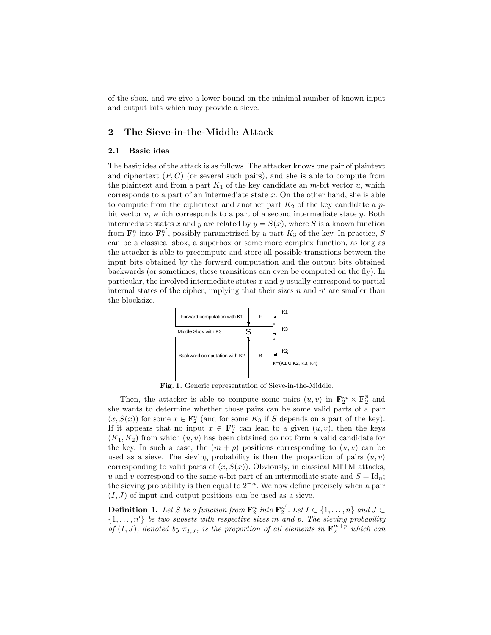of the sbox, and we give a lower bound on the minimal number of known input and output bits which may provide a sieve.

## 2 The Sieve-in-the-Middle Attack

### 2.1 Basic idea

The basic idea of the attack is as follows. The attacker knows one pair of plaintext and ciphertext  $(P, C)$  (or several such pairs), and she is able to compute from the plaintext and from a part  $K_1$  of the key candidate an m-bit vector u, which corresponds to a part of an intermediate state  $x$ . On the other hand, she is able to compute from the ciphertext and another part  $K_2$  of the key candidate a pbit vector  $v$ , which corresponds to a part of a second intermediate state  $y$ . Both intermediate states x and y are related by  $y = S(x)$ , where S is a known function from  $\mathbf{F}_2^n$  into  $\mathbf{F}_2^{n'}$ , possibly parametrized by a part  $K_3$  of the key. In practice, S can be a classical sbox, a superbox or some more complex function, as long as the attacker is able to precompute and store all possible transitions between the input bits obtained by the forward computation and the output bits obtained backwards (or sometimes, these transitions can even be computed on the fly). In particular, the involved intermediate states  $x$  and  $y$  usually correspond to partial internal states of the cipher, implying that their sizes  $n$  and  $n'$  are smaller than the blocksize.



Fig. 1. Generic representation of Sieve-in-the-Middle.

Then, the attacker is able to compute some pairs  $(u, v)$  in  $\mathbf{F}_2^m \times \mathbf{F}_2^p$  and she wants to determine whether those pairs can be some valid parts of a pair  $(x, S(x))$  for some  $x \in \mathbf{F}_2^n$  (and for some  $K_3$  if S depends on a part of the key). If it appears that no input  $x \in \mathbf{F}_2^n$  can lead to a given  $(u, v)$ , then the keys  $(K_1, K_2)$  from which  $(u, v)$  has been obtained do not form a valid candidate for the key. In such a case, the  $(m + p)$  positions corresponding to  $(u, v)$  can be used as a sieve. The sieving probability is then the proportion of pairs  $(u, v)$ corresponding to valid parts of  $(x, S(x))$ . Obviously, in classical MITM attacks, u and v correspond to the same n-bit part of an intermediate state and  $S = Id_n$ ; the sieving probability is then equal to  $2^{-n}$ . We now define precisely when a pair  $(I, J)$  of input and output positions can be used as a sieve.

**Definition 1.** Let S be a function from  $\mathbf{F}_2^n$  into  $\mathbf{F}_2^{n'}$ . Let  $I \subset \{1, \ldots, n\}$  and  $J \subset$  $\{1, \ldots, n'\}$  be two subsets with respective sizes m and p. The sieving probability of  $(I, J)$ , denoted by  $\pi_{I, J}$ , is the proportion of all elements in  $\mathbf{F}_2^{m+p}$  which can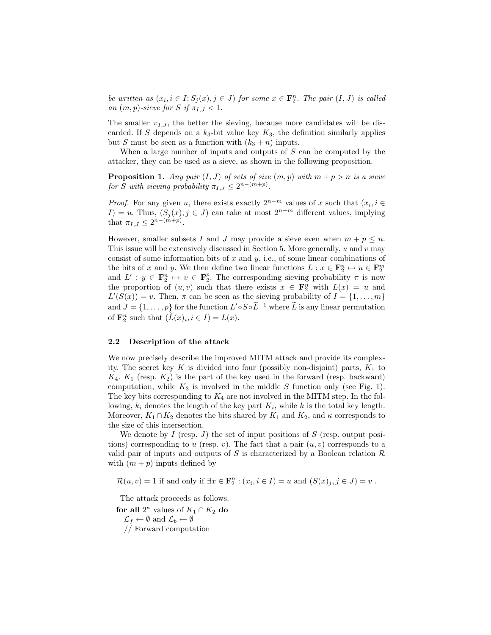be written as  $(x_i, i \in I; S_j(x), j \in J)$  for some  $x \in \mathbf{F}_2^n$ . The pair  $(I, J)$  is called an  $(m, p)$ -sieve for S if  $\pi_{I,J} < 1$ .

The smaller  $\pi_{I,J}$ , the better the sieving, because more candidates will be discarded. If S depends on a  $k_3$ -bit value key  $K_3$ , the definition similarly applies but S must be seen as a function with  $(k_3 + n)$  inputs.

When a large number of inputs and outputs of S can be computed by the attacker, they can be used as a sieve, as shown in the following proposition.

**Proposition 1.** Any pair  $(I, J)$  of sets of size  $(m, p)$  with  $m + p > n$  is a sieve for S with sieving probability  $\pi_{I,J} \leq 2^{n-(m+p)}$ .

*Proof.* For any given u, there exists exactly  $2^{n-m}$  values of x such that  $(x_i, i \in$ I) = u. Thus,  $(S_i(x), j \in J)$  can take at most  $2^{n-m}$  different values, implying that  $\pi_{I,J} \leq 2^{n-(m+p)}$ .

However, smaller subsets I and J may provide a sieve even when  $m + p \leq n$ . This issue will be extensively discussed in Section 5. More generally,  $u$  and  $v$  may consist of some information bits of x and y, i.e., of some linear combinations of the bits of x and y. We then define two linear functions  $L: x \in \mathbf{F}_2^n \mapsto u \in \mathbf{F}_2^m$ and  $L' : y \in \mathbf{F}_2^n \mapsto v \in \mathbf{F}_2^p$ . The corresponding sieving probability  $\pi$  is now the proportion of  $(u, v)$  such that there exists  $x \in \mathbf{F}_2^n$  with  $L(x) = u$  and  $L'(S(x)) = v$ . Then,  $\pi$  can be seen as the sieving probability of  $I = \{1, \ldots, m\}$ and  $J = \{1, \ldots, p\}$  for the function  $L' \circ S \circ \tilde{L}^{-1}$  where  $\tilde{L}$  is any linear permutation of  $\mathbf{F}_2^n$  such that  $(\tilde{L}(x)_i, i \in I) = L(x)$ .

### 2.2 Description of the attack

We now precisely describe the improved MITM attack and provide its complexity. The secret key K is divided into four (possibly non-disjoint) parts,  $K_1$  to  $K_4$ .  $K_1$  (resp.  $K_2$ ) is the part of the key used in the forward (resp. backward) computation, while  $K_3$  is involved in the middle S function only (see Fig. 1). The key bits corresponding to  $K_4$  are not involved in the MITM step. In the following,  $k_i$  denotes the length of the key part  $K_i$ , while k is the total key length. Moreover,  $K_1 \cap K_2$  denotes the bits shared by  $K_1$  and  $K_2$ , and  $\kappa$  corresponds to the size of this intersection.

We denote by  $I$  (resp.  $J$ ) the set of input positions of  $S$  (resp. output positions) corresponding to u (resp. v). The fact that a pair  $(u, v)$  corresponds to a valid pair of inputs and outputs of S is characterized by a Boolean relation  $\mathcal R$ with  $(m + p)$  inputs defined by

 $\mathcal{R}(u, v) = 1$  if and only if  $\exists x \in \mathbf{F}_2^n : (x_i, i \in I) = u$  and  $(S(x)_j, j \in J) = v$ .

The attack proceeds as follows.

for all 2<sup> $\kappa$ </sup> values of  $K_1 \cap K_2$  do  $\mathcal{L}_f \leftarrow \emptyset$  and  $\mathcal{L}_b \leftarrow \emptyset$ // Forward computation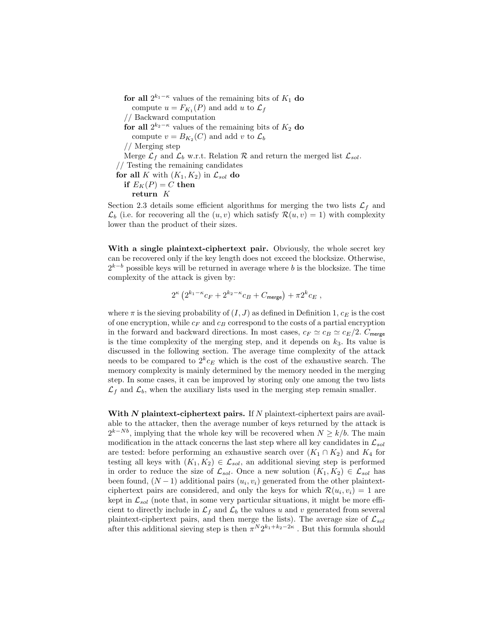for all  $2^{k_1-\kappa}$  values of the remaining bits of  $K_1$  do compute  $u = F_{K_1}(P)$  and add u to  $\mathcal{L}_f$ // Backward computation for all  $2^{k_2 - \kappa}$  values of the remaining bits of  $K_2$  do compute  $v = B_{K_2}(C)$  and add v to  $\mathcal{L}_b$ // Merging step Merge  $\mathcal{L}_f$  and  $\mathcal{L}_b$  w.r.t. Relation  $\mathcal{R}$  and return the merged list  $\mathcal{L}_{sol}$ . // Testing the remaining candidates for all K with  $(K_1, K_2)$  in  $\mathcal{L}_{sol}$  do if  $E_K(P) = C$  then return K

Section 2.3 details some efficient algorithms for merging the two lists  $\mathcal{L}_f$  and  $\mathcal{L}_b$  (i.e. for recovering all the  $(u, v)$  which satisfy  $\mathcal{R}(u, v) = 1$ ) with complexity lower than the product of their sizes.

With a single plaintext-ciphertext pair. Obviously, the whole secret key can be recovered only if the key length does not exceed the blocksize. Otherwise,  $2^{k-b}$  possible keys will be returned in average where b is the blocksize. The time complexity of the attack is given by:

 $2^{\kappa} (2^{k_1-\kappa} c_F + 2^{k_2-\kappa} c_B + C_{\text{merge}}) + \pi 2^k c_E,$ 

where  $\pi$  is the sieving probability of  $(I, J)$  as defined in Definition 1,  $c_E$  is the cost of one encryption, while  $c_F$  and  $c_B$  correspond to the costs of a partial encryption in the forward and backward directions. In most cases,  $c_F \simeq c_B \simeq c_E/2$ .  $C_{\text{merge}}$ is the time complexity of the merging step, and it depends on  $k_3$ . Its value is discussed in the following section. The average time complexity of the attack needs to be compared to  $2^k c_E$  which is the cost of the exhaustive search. The memory complexity is mainly determined by the memory needed in the merging step. In some cases, it can be improved by storing only one among the two lists  $\mathcal{L}_f$  and  $\mathcal{L}_b$ , when the auxiliary lists used in the merging step remain smaller.

With  $N$  plaintext-ciphertext pairs. If  $N$  plaintext-ciphertext pairs are available to the attacker, then the average number of keys returned by the attack is  $2^{k-Nb}$ , implying that the whole key will be recovered when  $N \geq k/b$ . The main modification in the attack concerns the last step where all key candidates in  $\mathcal{L}_{sol}$ are tested: before performing an exhaustive search over  $(K_1 \cap K_2)$  and  $K_4$  for testing all keys with  $(K_1, K_2) \in \mathcal{L}_{sol}$ , an additional sieving step is performed in order to reduce the size of  $\mathcal{L}_{sol}$ . Once a new solution  $(K_1, K_2) \in \mathcal{L}_{sol}$  has been found,  $(N-1)$  additional pairs  $(u_i, v_i)$  generated from the other plaintextciphertext pairs are considered, and only the keys for which  $\mathcal{R}(u_i, v_i) = 1$  are kept in  $\mathcal{L}_{sol}$  (note that, in some very particular situations, it might be more efficient to directly include in  $\mathcal{L}_f$  and  $\mathcal{L}_b$  the values u and v generated from several plaintext-ciphertext pairs, and then merge the lists). The average size of  $\mathcal{L}_{sol}$ after this additional sieving step is then  $\pi^N 2^{k_1+k_2-2\kappa}$ . But this formula should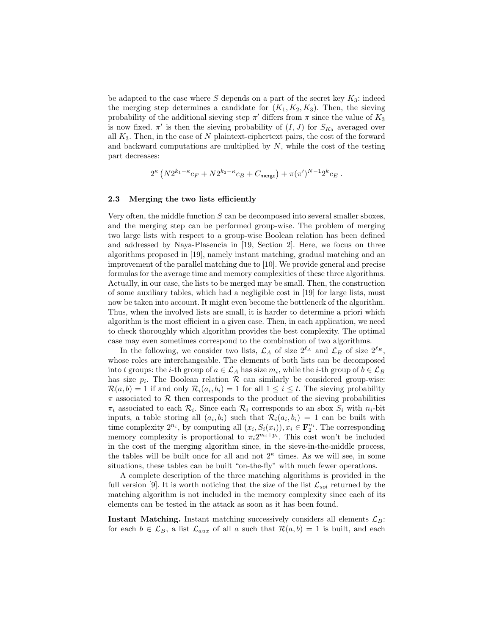be adapted to the case where  $S$  depends on a part of the secret key  $K_3$ : indeed the merging step determines a candidate for  $(K_1, K_2, K_3)$ . Then, the sieving probability of the additional sieving step  $\pi'$  differs from  $\pi$  since the value of  $K_3$ is now fixed.  $\pi'$  is then the sieving probability of  $(I, J)$  for  $S_{K_3}$  averaged over all  $K_3$ . Then, in the case of N plaintext-ciphertext pairs, the cost of the forward and backward computations are multiplied by  $N$ , while the cost of the testing part decreases:

$$
2^{\kappa} \left( N 2^{k_1 - \kappa} c_F + N 2^{k_2 - \kappa} c_B + C_{\text{merge}} \right) + \pi (\pi')^{N-1} 2^k c_E.
$$

### 2.3 Merging the two lists efficiently

Very often, the middle function  $S$  can be decomposed into several smaller sboxes, and the merging step can be performed group-wise. The problem of merging two large lists with respect to a group-wise Boolean relation has been defined and addressed by Naya-Plasencia in [19, Section 2]. Here, we focus on three algorithms proposed in [19], namely instant matching, gradual matching and an improvement of the parallel matching due to [10]. We provide general and precise formulas for the average time and memory complexities of these three algorithms. Actually, in our case, the lists to be merged may be small. Then, the construction of some auxiliary tables, which had a negligible cost in [19] for large lists, must now be taken into account. It might even become the bottleneck of the algorithm. Thus, when the involved lists are small, it is harder to determine a priori which algorithm is the most efficient in a given case. Then, in each application, we need to check thoroughly which algorithm provides the best complexity. The optimal case may even sometimes correspond to the combination of two algorithms.

In the following, we consider two lists,  $\mathcal{L}_A$  of size  $2^{\ell_A}$  and  $\mathcal{L}_B$  of size  $2^{\ell_B}$ . whose roles are interchangeable. The elements of both lists can be decomposed into t groups: the *i*-th group of  $a \in \mathcal{L}_A$  has size  $m_i$ , while the *i*-th group of  $b \in \mathcal{L}_B$ has size  $p_i$ . The Boolean relation  $\mathcal R$  can similarly be considered group-wise:  $\mathcal{R}(a, b) = 1$  if and only  $\mathcal{R}_i(a_i, b_i) = 1$  for all  $1 \leq i \leq t$ . The sieving probability  $\pi$  associated to  $\mathcal R$  then corresponds to the product of the sieving probabilities  $\pi_i$  associated to each  $\mathcal{R}_i$ . Since each  $\mathcal{R}_i$  corresponds to an sbox  $S_i$  with  $n_i$ -bit inputs, a table storing all  $(a_i, b_i)$  such that  $\mathcal{R}_i(a_i, b_i) = 1$  can be built with time complexity  $2^{n_i}$ , by computing all  $(x_i, S_i(x_i)), x_i \in \mathbf{F}_2^{n_i}$ . The corresponding memory complexity is proportional to  $\pi_i 2^{m_i+p_i}$ . This cost won't be included in the cost of the merging algorithm since, in the sieve-in-the-middle process, the tables will be built once for all and not  $2^{\kappa}$  times. As we will see, in some situations, these tables can be built "on-the-fly" with much fewer operations.

A complete description of the three matching algorithms is provided in the full version [9]. It is worth noticing that the size of the list  $\mathcal{L}_{sol}$  returned by the matching algorithm is not included in the memory complexity since each of its elements can be tested in the attack as soon as it has been found.

**Instant Matching.** Instant matching successively considers all elements  $\mathcal{L}_B$ : for each  $b \in \mathcal{L}_B$ , a list  $\mathcal{L}_{aux}$  of all a such that  $\mathcal{R}(a, b) = 1$  is built, and each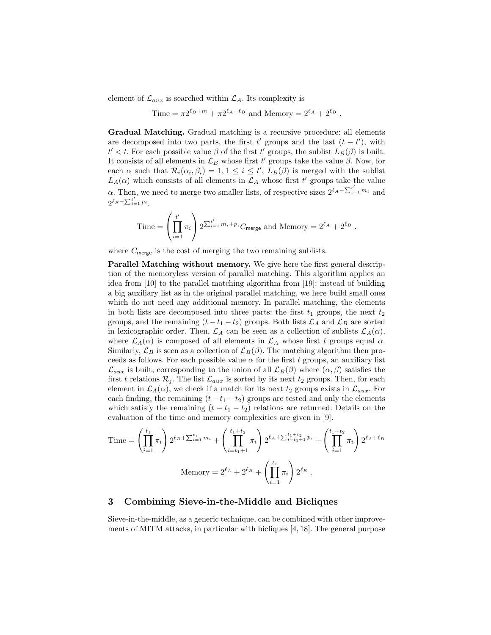element of  $\mathcal{L}_{aux}$  is searched within  $\mathcal{L}_A$ . Its complexity is

Time = 
$$
\pi 2^{\ell_B + m} + \pi 2^{\ell_A + \ell_B}
$$
 and Memory =  $2^{\ell_A} + 2^{\ell_B}$ .

Gradual Matching. Gradual matching is a recursive procedure: all elements are decomposed into two parts, the first  $t'$  groups and the last  $(t - t')$ , with  $t' < t$ . For each possible value  $\beta$  of the first  $t'$  groups, the sublist  $L_B(\beta)$  is built. It consists of all elements in  $\mathcal{L}_B$  whose first  $t'$  groups take the value  $\beta$ . Now, for each  $\alpha$  such that  $\mathcal{R}_i(\alpha_i, \beta_i) = 1, 1 \leq i \leq t'$ ,  $L_B(\beta)$  is merged with the sublist  $L_A(\alpha)$  which consists of all elements in  $\mathcal{L}_A$  whose first t' groups take the value α. Then, we need to merge two smaller lists, of respective sizes  $2^{\ell_A - \sum_{i=1}^{t'} m_i}$  and  $2^{\ell_B - \sum_{i=1}^{t'} p_i}$ .

Time = 
$$
\left(\prod_{i=1}^{t'} \pi_i\right) 2^{\sum_{i=1}^{t'} m_i + p_i} C_{\text{merge}}
$$
 and Memory =  $2^{\ell_A} + 2^{\ell_B}$ .

where  $C_{\text{merge}}$  is the cost of merging the two remaining sublists.

Parallel Matching without memory. We give here the first general description of the memoryless version of parallel matching. This algorithm applies an idea from [10] to the parallel matching algorithm from [19]: instead of building a big auxiliary list as in the original parallel matching, we here build small ones which do not need any additional memory. In parallel matching, the elements in both lists are decomposed into three parts: the first  $t_1$  groups, the next  $t_2$ groups, and the remaining  $(t - t_1 - t_2)$  groups. Both lists  $\mathcal{L}_A$  and  $\mathcal{L}_B$  are sorted in lexicographic order. Then,  $\mathcal{L}_A$  can be seen as a collection of sublists  $\mathcal{L}_A(\alpha)$ , where  $\mathcal{L}_A(\alpha)$  is composed of all elements in  $\mathcal{L}_A$  whose first t groups equal  $\alpha$ . Similarly,  $\mathcal{L}_B$  is seen as a collection of  $\mathcal{L}_B(\beta)$ . The matching algorithm then proceeds as follows. For each possible value  $\alpha$  for the first t groups, an auxiliary list  $\mathcal{L}_{aux}$  is built, corresponding to the union of all  $\mathcal{L}_B(\beta)$  where  $(\alpha, \beta)$  satisfies the first t relations  $\mathcal{R}_j$ . The list  $\mathcal{L}_{aux}$  is sorted by its next  $t_2$  groups. Then, for each element in  $\mathcal{L}_A(\alpha)$ , we check if a match for its next  $t_2$  groups exists in  $\mathcal{L}_{aux}$ . For each finding, the remaining  $(t - t_1 - t_2)$  groups are tested and only the elements which satisfy the remaining  $(t - t_1 - t_2)$  relations are returned. Details on the evaluation of the time and memory complexities are given in [9].

$$
\text{Time} = \left(\prod_{i=1}^{t_1} \pi_i\right) 2^{\ell_B + \sum_{i=1}^{t_1} m_i} + \left(\prod_{i=t_1+1}^{t_1+t_2} \pi_i\right) 2^{\ell_A + \sum_{i=t_1+1}^{t_1+t_2} p_i} + \left(\prod_{i=1}^{t_1+t_2} \pi_i\right) 2^{\ell_A + \ell_B}
$$
\n
$$
\text{Memory} = 2^{\ell_A} + 2^{\ell_B} + \left(\prod_{i=1}^{t_1} \pi_i\right) 2^{\ell_B} \ .
$$

## 3 Combining Sieve-in-the-Middle and Bicliques

Sieve-in-the-middle, as a generic technique, can be combined with other improvements of MITM attacks, in particular with bicliques [4, 18]. The general purpose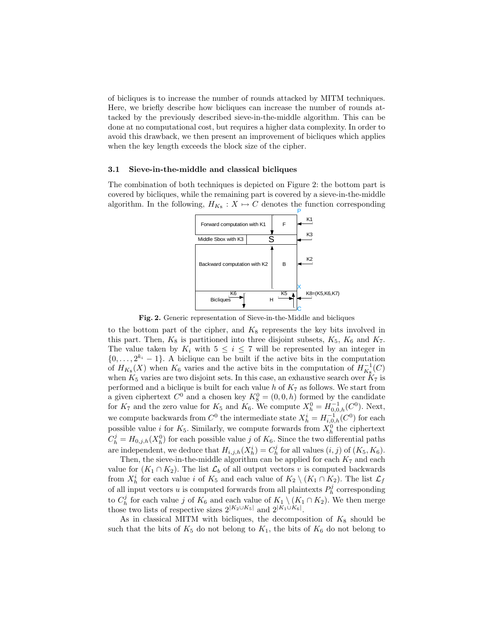of bicliques is to increase the number of rounds attacked by MITM techniques. Here, we briefly describe how bicliques can increase the number of rounds attacked by the previously described sieve-in-the-middle algorithm. This can be done at no computational cost, but requires a higher data complexity. In order to avoid this drawback, we then present an improvement of bicliques which applies when the key length exceeds the block size of the cipher.

### 3.1 Sieve-in-the-middle and classical bicliques

The combination of both techniques is depicted on Figure 2: the bottom part is covered by bicliques, while the remaining part is covered by a sieve-in-the-middle algorithm. In the following,  $H_{K_8}: X \mapsto C$  denotes the function corresponding



Fig. 2. Generic representation of Sieve-in-the-Middle and bicliques

to the bottom part of the cipher, and  $K_8$  represents the key bits involved in this part. Then,  $K_8$  is partitioned into three disjoint subsets,  $K_5$ ,  $K_6$  and  $K_7$ . The value taken by  $K_i$  with  $5 \leq i \leq 7$  will be represented by an integer in  $\{0, \ldots, 2^{k_i} - 1\}$ . A biclique can be built if the active bits in the computation of  $H_{K_8}(X)$  when  $K_6$  varies and the active bits in the computation of  $H_{K_8}^{-1}(C)$ when  $K_5$  varies are two disjoint sets. In this case, an exhaustive search over  $K_7$  is performed and a biclique is built for each value  $h$  of  $K_7$  as follows. We start from a given ciphertext  $C^0$  and a chosen key  $K_8^0 = (0, 0, h)$  formed by the candidate for  $K_7$  and the zero value for  $K_5$  and  $K_6$ . We compute  $X_h^0 = H_{0,0,h}^{-1}(C^0)$ . Next, we compute backwards from  $C^0$  the intermediate state  $X_h^i = H_{i,0,h}^{-1}(C^0)$  for each possible value *i* for  $K_5$ . Similarly, we compute forwards from  $X_h^0$  the ciphertext  $C_h^j = H_{0,j,h}(X_h^0)$  for each possible value j of  $K_6$ . Since the two differential paths are independent, we deduce that  $H_{i,j,h}(X_h^i) = C_h^j$  for all values  $(i, j)$  of  $(K_5, K_6)$ .

Then, the sieve-in-the-middle algorithm can be applied for each  $K_7$  and each value for  $(K_1 \cap K_2)$ . The list  $\mathcal{L}_b$  of all output vectors v is computed backwards from  $X_h^i$  for each value i of  $K_5$  and each value of  $K_2 \setminus (K_1 \cap K_2)$ . The list  $\mathcal{L}_f$ of all input vectors  $u$  is computed forwards from all plaintexts  $P_h^j$  corresponding to  $C_h^j$  for each value j of  $K_6$  and each value of  $K_1 \setminus (K_1 \cap K_2)$ . We then merge those two lists of respective sizes  $2^{|K_2 \cup K_5|}$  and  $2^{|K_1 \cup K_6|}$ .

As in classical MITM with bicliques, the decomposition of  $K_8$  should be such that the bits of  $K_5$  do not belong to  $K_1$ , the bits of  $K_6$  do not belong to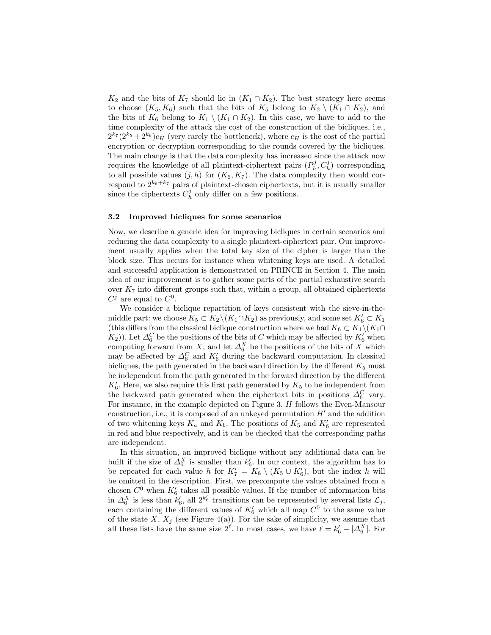$K_2$  and the bits of  $K_7$  should lie in  $(K_1 \cap K_2)$ . The best strategy here seems to choose  $(K_5, K_6)$  such that the bits of  $K_5$  belong to  $K_2 \setminus (K_1 \cap K_2)$ , and the bits of  $K_6$  belong to  $K_1 \setminus (K_1 \cap K_2)$ . In this case, we have to add to the time complexity of the attack the cost of the construction of the bicliques, i.e.,  $2^{k_7}(2^{k_5}+2^{k_6})c_H$  (very rarely the bottleneck), where  $c_H$  is the cost of the partial encryption or decryption corresponding to the rounds covered by the bicliques. The main change is that the data complexity has increased since the attack now requires the knowledge of all plaintext-ciphertext pairs  $(P_h^j, C_h^j)$  corresponding to all possible values  $(j, h)$  for  $(K_6, K_7)$ . The data complexity then would correspond to  $2^{k_6+k_7}$  pairs of plaintext-chosen ciphertexts, but it is usually smaller since the ciphertexts  $C_h^j$  only differ on a few positions.

### 3.2 Improved bicliques for some scenarios

Now, we describe a generic idea for improving bicliques in certain scenarios and reducing the data complexity to a single plaintext-ciphertext pair. Our improvement usually applies when the total key size of the cipher is larger than the block size. This occurs for instance when whitening keys are used. A detailed and successful application is demonstrated on PRINCE in Section 4. The main idea of our improvement is to gather some parts of the partial exhaustive search over  $K_7$  into different groups such that, within a group, all obtained ciphertexts  $C^j$  are equal to  $C^0$ .

We consider a biclique repartition of keys consistent with the sieve-in-themiddle part: we choose  $K_5 \subset K_2 \setminus (K_1 \cap K_2)$  as previously, and some set  $K'_6 \subset K_1$ (this differs from the classical biclique construction where we had  $K_6 \subset K_1 \backslash (K_1 \cap$  $(K_2)$ ). Let  $\Delta_6^C$  be the positions of the bits of C which may be affected by  $K_6'$  when computing forward from X, and let  $\Delta_6^X$  be the positions of the bits of X which may be affected by  $\Delta_6^C$  and  $K'_6$  during the backward computation. In classical bicliques, the path generated in the backward direction by the different  $K_5$  must be independent from the path generated in the forward direction by the different  $K_6'$ . Here, we also require this first path generated by  $K_5$  to be independent from the backward path generated when the ciphertext bits in positions  $\Delta_6^C$  vary. For instance, in the example depicted on Figure 3, H follows the Even-Mansour construction, i.e., it is composed of an unkeyed permutation  $H'$  and the addition of two whitening keys  $K_a$  and  $K_b$ . The positions of  $K_5$  and  $K'_6$  are represented in red and blue respectively, and it can be checked that the corresponding paths are independent.

In this situation, an improved biclique without any additional data can be built if the size of  $\Delta_6^X$  is smaller than  $k'_6$ . In our context, the algorithm has to be repeated for each value h for  $K_7' = K_8 \setminus (K_5 \cup K_6')$ , but the index h will be omitted in the description. First, we precompute the values obtained from a chosen  $C^0$  when  $K_6'$  takes all possible values. If the number of information bits in  $\Delta_6^X$  is less than  $k'_6$ , all  $2^{k'_6}$  transitions can be represented by several lists  $\mathcal{L}_j$ , each containing the different values of  $K'_6$  which all map  $C^0$  to the same value of the state X,  $X_j$  (see Figure 4(a)). For the sake of simplicity, we assume that all these lists have the same size  $2^{\ell}$ . In most cases, we have  $\ell = k'_6 - |\Delta_6^X|$ . For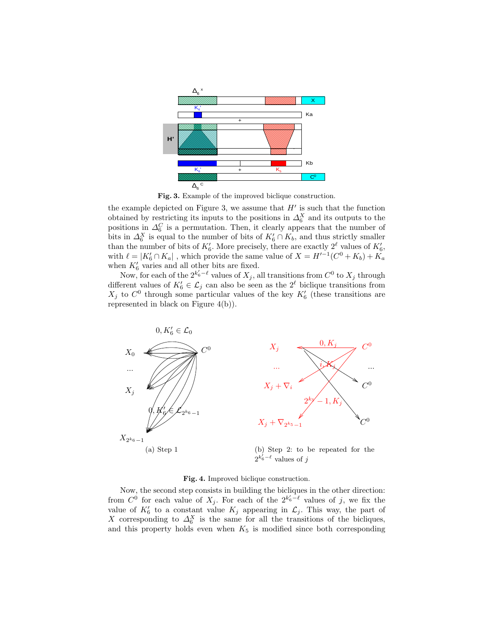

Fig. 3. Example of the improved biclique construction.

the example depicted on Figure 3, we assume that  $H'$  is such that the function obtained by restricting its inputs to the positions in  $\Delta_6^X$  and its outputs to the positions in  $\Delta_6^C$  is a permutation. Then, it clearly appears that the number of bits in  $\Delta_6^X$  is equal to the number of bits of  $K'_6 \cap K_b$ , and thus strictly smaller than the number of bits of  $K'_6$ . More precisely, there are exactly  $2^\ell$  values of  $K'_6$ , with  $\ell = |K'_6 \cap K_a|$ , which provide the same value of  $X = H'^{-1}(C^0 + K_b) + K_a$ when  $K'_6$  varies and all other bits are fixed.

Now, for each of the  $2^{k'_{6}-\ell}$  values of  $X_{j}$ , all transitions from  $C^{0}$  to  $X_{j}$  through different values of  $K_6' \in \mathcal{L}_j$  can also be seen as the  $2^{\ell}$  biclique transitions from  $X_j$  to  $C^0$  through some particular values of the key  $K'_6$  (these transitions are represented in black on Figure 4(b)).



#### Fig. 4. Improved biclique construction.

Now, the second step consists in building the bicliques in the other direction: from  $C^0$  for each value of  $X_j$ . For each of the  $2^{k'_0-\ell}$  values of j, we fix the value of  $K_6'$  to a constant value  $K_j$  appearing in  $\mathcal{L}_j$ . This way, the part of X corresponding to  $\Delta_6^X$  is the same for all the transitions of the bicliques, and this property holds even when  $K_5$  is modified since both corresponding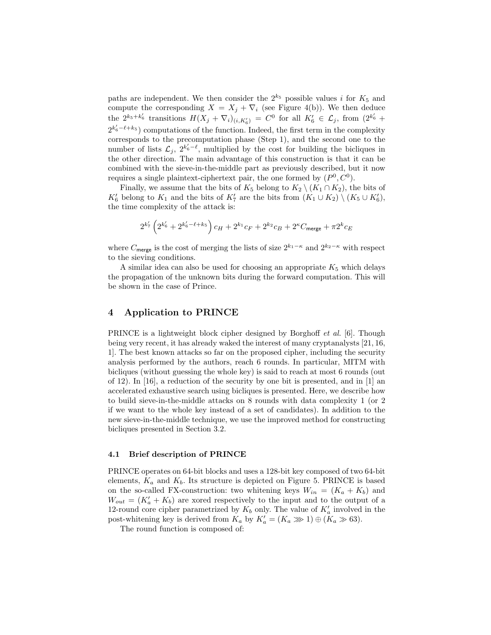paths are independent. We then consider the  $2^{k_5}$  possible values i for  $K_5$  and compute the corresponding  $X = X_j + \nabla_i$  (see Figure 4(b)). We then deduce the  $2^{k_5+k'_6}$  transitions  $H(X_j + \nabla_i)_{(i,K'_6)} = C^0$  for all  $K'_6 \in \mathcal{L}_j$ , from  $(2^{k'_6} +$  $2^{k'_{6}-\ell+k_{5}}$  computations of the function. Indeed, the first term in the complexity corresponds to the precomputation phase (Step 1), and the second one to the number of lists  $\mathcal{L}_j$ ,  $2^{k'_6-\ell}$ , multiplied by the cost for building the bicliques in the other direction. The main advantage of this construction is that it can be combined with the sieve-in-the-middle part as previously described, but it now requires a single plaintext-ciphertext pair, the one formed by  $(P^0, C^0)$ .

Finally, we assume that the bits of  $K_5$  belong to  $K_2 \setminus (K_1 \cap K_2)$ , the bits of  $K'_6$  belong to  $K_1$  and the bits of  $K'_7$  are the bits from  $(K_1 \cup K_2) \setminus (K_5 \cup K'_6)$ , the time complexity of the attack is:

$$
2^{k'_7} \left(2^{k'_6} + 2^{k'_6 - \ell + k_5} \right) c_H + 2^{k_1} c_F + 2^{k_2} c_B + 2^{\kappa} C_{\text{merge}} + \pi 2^k c_E
$$

where  $C_{\text{merge}}$  is the cost of merging the lists of size  $2^{k_1-\kappa}$  and  $2^{k_2-\kappa}$  with respect to the sieving conditions.

A similar idea can also be used for choosing an appropriate  $K_5$  which delays the propagation of the unknown bits during the forward computation. This will be shown in the case of Prince.

## 4 Application to PRINCE

PRINCE is a lightweight block cipher designed by Borghoff *et al.* [6]. Though being very recent, it has already waked the interest of many cryptanalysts [21, 16, 1]. The best known attacks so far on the proposed cipher, including the security analysis performed by the authors, reach 6 rounds. In particular, MITM with bicliques (without guessing the whole key) is said to reach at most 6 rounds (out of 12). In [16], a reduction of the security by one bit is presented, and in [1] an accelerated exhaustive search using bicliques is presented. Here, we describe how to build sieve-in-the-middle attacks on 8 rounds with data complexity 1 (or 2 if we want to the whole key instead of a set of candidates). In addition to the new sieve-in-the-middle technique, we use the improved method for constructing bicliques presented in Section 3.2.

### 4.1 Brief description of PRINCE

PRINCE operates on 64-bit blocks and uses a 128-bit key composed of two 64-bit elements,  $K_a$  and  $K_b$ . Its structure is depicted on Figure 5. PRINCE is based on the so-called FX-construction: two whitening keys  $W_{in} = (K_a + K_b)$  and  $W_{out} = (K_a' + K_b)$  are xored respectively to the input and to the output of a 12-round core cipher parametrized by  $K_b$  only. The value of  $K_a'$  involved in the post-whitening key is derived from  $K_a$  by  $K'_a = (K_a \gg 1) \oplus (\tilde{K}_a \gg 63)$ .

The round function is composed of: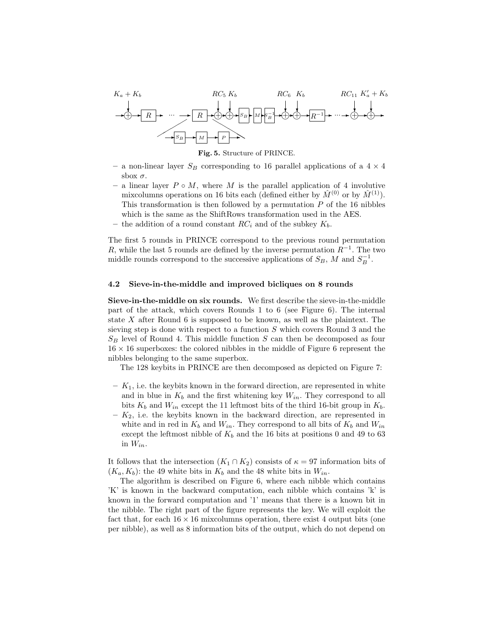

Fig. 5. Structure of PRINCE.

- a non-linear layer  $S_B$  corresponding to 16 parallel applications of a 4  $\times$  4 sbox  $\sigma$ .
- a linear layer  $P \circ M$ , where M is the parallel application of 4 involutive mixcolumns operations on 16 bits each (defined either by  $\hat{M}^{(0)}$  or by  $\hat{M}^{(1)}$ ). This transformation is then followed by a permutation  $P$  of the 16 nibbles which is the same as the ShiftRows transformation used in the AES.
- the addition of a round constant  $RC_i$  and of the subkey  $K_b$ .

The first 5 rounds in PRINCE correspond to the previous round permutation R, while the last 5 rounds are defined by the inverse permutation  $R^{-1}$ . The two middle rounds correspond to the successive applications of  $S_B$ , M and  $S_B^{-1}$ .

### 4.2 Sieve-in-the-middle and improved bicliques on 8 rounds

Sieve-in-the-middle on six rounds. We first describe the sieve-in-the-middle part of the attack, which covers Rounds 1 to 6 (see Figure 6). The internal state X after Round 6 is supposed to be known, as well as the plaintext. The sieving step is done with respect to a function  $S$  which covers Round 3 and the  $S_B$  level of Round 4. This middle function S can then be decomposed as four  $16 \times 16$  superboxes: the colored nibbles in the middle of Figure 6 represent the nibbles belonging to the same superbox.

The 128 keybits in PRINCE are then decomposed as depicted on Figure 7:

- $-$  K<sub>1</sub>, i.e. the keybits known in the forward direction, are represented in white and in blue in  $K_b$  and the first whitening key  $W_{in}$ . They correspond to all bits  $K_b$  and  $W_{in}$  except the 11 leftmost bits of the third 16-bit group in  $K_b$ .
- $-$  K<sub>2</sub>, i.e. the keybits known in the backward direction, are represented in white and in red in  $K_b$  and  $W_{in}$ . They correspond to all bits of  $K_b$  and  $W_{in}$ except the leftmost nibble of  $K_b$  and the 16 bits at positions 0 and 49 to 63 in  $W_{in}$ .

It follows that the intersection  $(K_1 \cap K_2)$  consists of  $\kappa = 97$  information bits of  $(K_a, K_b)$ : the 49 white bits in  $K_b$  and the 48 white bits in  $W_{in}$ .

The algorithm is described on Figure 6, where each nibble which contains 'K' is known in the backward computation, each nibble which contains 'k' is known in the forward computation and '1' means that there is a known bit in the nibble. The right part of the figure represents the key. We will exploit the fact that, for each  $16 \times 16$  mixcolumns operation, there exist 4 output bits (one per nibble), as well as 8 information bits of the output, which do not depend on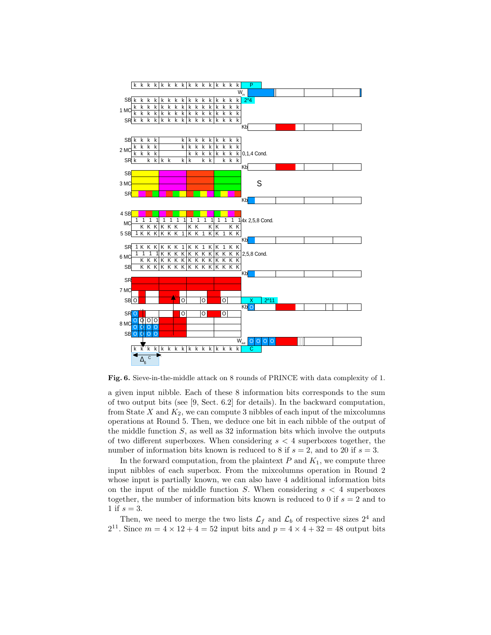

Fig. 6. Sieve-in-the-middle attack on 8 rounds of PRINCE with data complexity of 1.

a given input nibble. Each of these 8 information bits corresponds to the sum of two output bits (see [9, Sect. 6.2] for details). In the backward computation, from State  $X$  and  $K_2$ , we can compute 3 nibbles of each input of the mixcolumns operations at Round 5. Then, we deduce one bit in each nibble of the output of the middle function  $S$ , as well as 32 information bits which involve the outputs of two different superboxes. When considering  $s < 4$  superboxes together, the number of information bits known is reduced to 8 if  $s = 2$ , and to 20 if  $s = 3$ .

In the forward computation, from the plaintext  $P$  and  $K_1$ , we compute three input nibbles of each superbox. From the mixcolumns operation in Round 2 whose input is partially known, we can also have 4 additional information bits on the input of the middle function  $S$ . When considering  $s < 4$  superboxes together, the number of information bits known is reduced to 0 if  $s = 2$  and to 1 if  $s = 3$ .

Then, we need to merge the two lists  $\mathcal{L}_f$  and  $\mathcal{L}_b$  of respective sizes  $2^4$  and  $2^{11}$ . Since  $m = 4 \times 12 + 4 = 52$  input bits and  $p = 4 \times 4 + 32 = 48$  output bits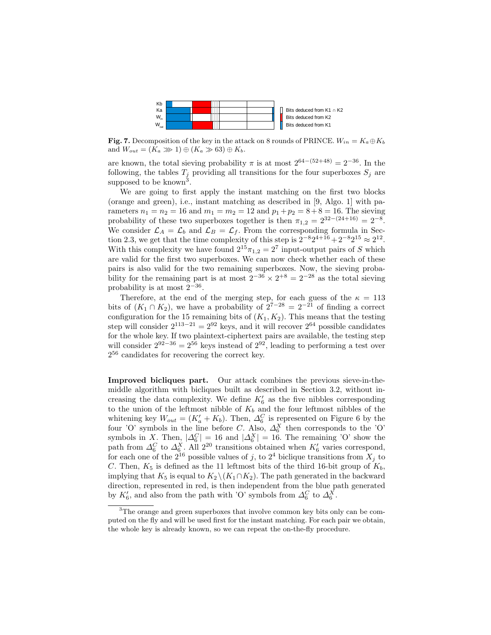

Fig. 7. Decomposition of the key in the attack on 8 rounds of PRINCE.  $W_{in} = K_a \oplus K_b$ and  $W_{out} = (K_a \gg 1) \oplus (K_a \gg 63) \oplus K_b$ .

are known, the total sieving probability  $\pi$  is at most  $2^{64-(52+48)} = 2^{-36}$ . In the following, the tables  $T_i$  providing all transitions for the four superboxes  $S_i$  are supposed to be known<sup>3</sup>.

We are going to first apply the instant matching on the first two blocks (orange and green), i.e., instant matching as described in [9, Algo. 1] with parameters  $n_1 = n_2 = 16$  and  $m_1 = m_2 = 12$  and  $p_1 + p_2 = 8 + 8 = 16$ . The sieving probability of these two superboxes together is then  $\pi_{1,2} = 2^{32-(24+16)} = 2^{-8}$ . We consider  $\mathcal{L}_A = \mathcal{L}_b$  and  $\mathcal{L}_B = \mathcal{L}_f$ . From the corresponding formula in Section 2.3, we get that the time complexity of this step is  $2^{-8}2^{4+16} + 2^{-8}2^{15} \approx 2^{12}$ . With this complexity we have found  $2^{15}\pi_{1,2} = 2^7$  input-output pairs of S which are valid for the first two superboxes. We can now check whether each of these pairs is also valid for the two remaining superboxes. Now, the sieving probability for the remaining part is at most  $2^{-36} \times 2^{+8} = 2^{-28}$  as the total sieving probability is at most  $2^{-36}$ .

Therefore, at the end of the merging step, for each guess of the  $\kappa = 113$ bits of  $(K_1 \cap K_2)$ , we have a probability of  $2^{7-28} = 2^{-21}$  of finding a correct configuration for the 15 remaining bits of  $(K_1, K_2)$ . This means that the testing step will consider  $2^{113-21} = 2^{92}$  keys, and it will recover  $2^{64}$  possible candidates for the whole key. If two plaintext-ciphertext pairs are available, the testing step will consider  $2^{92-36} = 2^{56}$  keys instead of  $2^{92}$ , leading to performing a test over  $2^{56}$  candidates for recovering the correct key.

Improved bicliques part. Our attack combines the previous sieve-in-themiddle algorithm with bicliques built as described in Section 3.2, without increasing the data complexity. We define  $K'_6$  as the five nibbles corresponding to the union of the leftmost nibble of  $K_b$  and the four leftmost nibbles of the whitening key  $W_{out} = (K'_a + K_b)$ . Then,  $\Delta_6^C$  is represented on Figure 6 by the four 'O' symbols in the line before C. Also,  $\Delta_6^X$  then corresponds to the 'O' symbols in X. Then,  $|\Delta_6^C| = 16$  and  $|\Delta_6^X| = 16$ . The remaining 'O' show the path from  $\Delta_6^C$  to  $\Delta_6^X$ . All  $2^{20}$  transitions obtained when  $K'_6$  varies correspond, for each one of the  $2^{16}$  possible values of j, to  $2^4$  biclique transitions from  $X_j$  to C. Then,  $K_5$  is defined as the 11 leftmost bits of the third 16-bit group of  $K_b$ , implying that  $K_5$  is equal to  $K_2 \setminus (K_1 \cap K_2)$ . The path generated in the backward direction, represented in red, is then independent from the blue path generated by  $K'_6$ , and also from the path with 'O' symbols from  $\Delta_6^C$  to  $\Delta_6^X$ .

<sup>&</sup>lt;sup>3</sup>The orange and green superboxes that involve common key bits only can be computed on the fly and will be used first for the instant matching. For each pair we obtain, the whole key is already known, so we can repeat the on-the-fly procedure.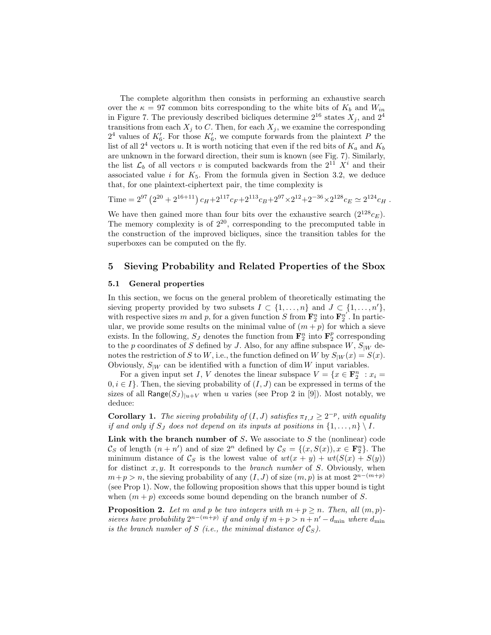The complete algorithm then consists in performing an exhaustive search over the  $\kappa = 97$  common bits corresponding to the white bits of  $K_b$  and  $W_{in}$ in Figure 7. The previously described bicliques determine  $2^{16}$  states  $X_i$ , and  $2^4$ transitions from each  $X_j$  to C. Then, for each  $X_j$ , we examine the corresponding  $2^4$  values of  $K'_6$ . For those  $K'_6$ , we compute forwards from the plaintext P the list of all  $2^4$  vectors u. It is worth noticing that even if the red bits of  $K_a$  and  $K_b$ are unknown in the forward direction, their sum is known (see Fig. 7). Similarly, the list  $\mathcal{L}_b$  of all vectors v is computed backwards from the  $2^{11}$   $X^i$  and their associated value  $i$  for  $K_5$ . From the formula given in Section 3.2, we deduce that, for one plaintext-ciphertext pair, the time complexity is

Time = 
$$
2^{97} (2^{20} + 2^{16+11}) c_H + 2^{117} c_F + 2^{113} c_B + 2^{97} \times 2^{12} + 2^{-36} \times 2^{128} c_E \simeq 2^{124} c_H
$$
.

We have then gained more than four bits over the exhaustive search  $(2^{128}c_E)$ . The memory complexity is of  $2^{20}$ , corresponding to the precomputed table in the construction of the improved bicliques, since the transition tables for the superboxes can be computed on the fly.

## 5 Sieving Probability and Related Properties of the Sbox

#### 5.1 General properties

In this section, we focus on the general problem of theoretically estimating the sieving property provided by two subsets  $I \subset \{1, \ldots, n\}$  and  $J \subset \{1, \ldots, n'\},$ with respective sizes m and p, for a given function S from  $\mathbf{F}_2^n$  into  $\mathbf{F}_2^{n'}$ . In particular, we provide some results on the minimal value of  $(m + p)$  for which a sieve exists. In the following,  $S_J$  denotes the function from  $\mathbf{F}_2^n$  into  $\mathbf{F}_2^p$  corresponding to the p coordinates of S defined by J. Also, for any affine subspace  $W$ ,  $S_{|W}$  denotes the restriction of S to W, i.e., the function defined on W by  $S_{|W}(x) = S(x)$ . Obviously,  $S_{|W}$  can be identified with a function of dim W input variables.

For a given input set I, V denotes the linear subspace  $V = \{x \in \mathbf{F}_2^n : x_i =$  $0, i \in I$ . Then, the sieving probability of  $(I, J)$  can be expressed in terms of the sizes of all Range $(S_J)_{u+V}$  when u varies (see Prop 2 in [9]). Most notably, we deduce:

**Corollary 1.** The sieving probability of  $(I, J)$  satisfies  $\pi_{I,J} \geq 2^{-p}$ , with equality if and only if  $S_J$  does not depend on its inputs at positions in  $\{1,\ldots,n\} \setminus I$ .

Link with the branch number of  $S$ . We associate to  $S$  the (nonlinear) code  $\mathcal{C}_S$  of length  $(n + n')$  and of size  $2^n$  defined by  $\mathcal{C}_S = \{(x, S(x)), x \in \mathbf{F}_2^n\}$ . The minimum distance of  $\mathcal{C}_S$  is the lowest value of  $wt(x + y) + wt(S(x) + S(y))$ for distinct  $x, y$ . It corresponds to the *branch number* of  $S$ . Obviously, when  $m+p > n$ , the sieving probability of any  $(I, J)$  of size  $(m, p)$  is at most  $2^{n-(m+p)}$ (see Prop 1). Now, the following proposition shows that this upper bound is tight when  $(m + p)$  exceeds some bound depending on the branch number of S.

**Proposition 2.** Let m and p be two integers with  $m + p \ge n$ . Then, all  $(m, p)$ sieves have probability  $2^{n-(m+p)}$  if and only if  $m+p>n+n'-d_{\min}$  where  $d_{\min}$ is the branch number of S (i.e., the minimal distance of  $\mathcal{C}_S$ ).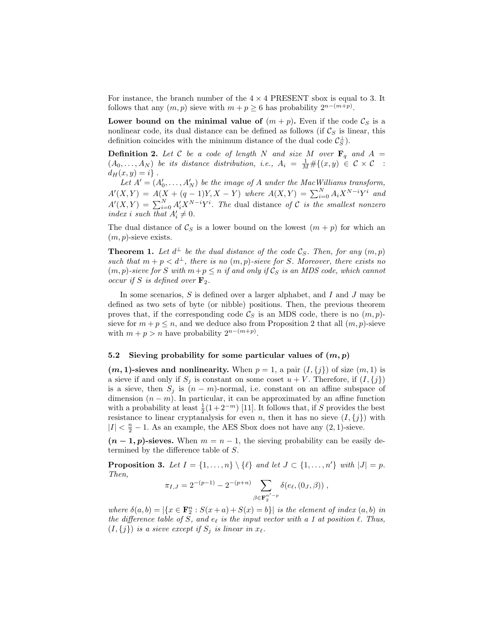For instance, the branch number of the  $4 \times 4$  PRESENT sbox is equal to 3. It follows that any  $(m, p)$  sieve with  $m + p \geq 6$  has probability  $2^{n-(m+p)}$ .

Lower bound on the minimal value of  $(m + p)$ . Even if the code  $\mathcal{C}_S$  is a nonlinear code, its dual distance can be defined as follows (if  $\mathcal{C}_S$  is linear, this definition coincides with the minimum distance of the dual code  $\mathcal{C}_S^{\perp}$ .

**Definition 2.** Let C be a code of length N and size M over  $\mathbf{F}_q$  and  $A =$  $(A_0,\ldots,A_N)$  be its distance distribution, i.e.,  $A_i = \frac{1}{M} \# \{(x,y) \in \mathcal{C} \times \mathcal{C} \}$ :  $d_H(x, y) = i$ .

Let  $A' = (A'_0, \ldots, A'_N)$  be the image of A under the MacWilliams transform,  $A'(X,Y) = A(X + (q-1)Y, X - Y)$  where  $A(X,Y) = \sum_{i=0}^{N} A_i X^{N-i} Y^i$  and  $A'(X,Y) = \sum_{i=0}^{N} A'_i X^{N-i} Y^i$ . The dual distance of C is the smallest nonzero index i such that  $A'_i \neq 0$ .

The dual distance of  $\mathcal{C}_S$  is a lower bound on the lowest  $(m + p)$  for which an  $(m, p)$ -sieve exists.

**Theorem 1.** Let  $d^{\perp}$  be the dual distance of the code  $\mathcal{C}_S$ . Then, for any  $(m, p)$ such that  $m + p < d^{\perp}$ , there is no  $(m, p)$ -sieve for S. Moreover, there exists no  $(m, p)$ -sieve for S with  $m+p \leq n$  if and only if  $\mathcal{C}_S$  is an MDS code, which cannot occur if S is defined over  $\mathbf{F}_2$ .

In some scenarios,  $S$  is defined over a larger alphabet, and  $I$  and  $J$  may be defined as two sets of byte (or nibble) positions. Then, the previous theorem proves that, if the corresponding code  $\mathcal{C}_S$  is an MDS code, there is no  $(m, p)$ sieve for  $m + p \leq n$ , and we deduce also from Proposition 2 that all  $(m, p)$ -sieve with  $m + p > n$  have probability  $2^{n-(m+p)}$ .

#### 5.2 Sieving probability for some particular values of  $(m, p)$

 $(m, 1)$ -sieves and nonlinearity. When  $p = 1$ , a pair  $(I, \{j\})$  of size  $(m, 1)$  is a sieve if and only if  $S_j$  is constant on some coset  $u + V$ . Therefore, if  $(I, \{j\})$ is a sieve, then  $S_j$  is  $(n - m)$ -normal, i.e. constant on an affine subspace of dimension  $(n - m)$ . In particular, it can be approximated by an affine function with a probability at least  $\frac{1}{2}(1+2^{-m})$  [11]. It follows that, if S provides the best resistance to linear cryptanalysis for even n, then it has no sieve  $(I, \{j\})$  with  $|I| < \frac{n}{2} - 1$ . As an example, the AES Sbox does not have any  $(2, 1)$ -sieve.

 $(n-1, p)$ -sieves. When  $m = n - 1$ , the sieving probability can be easily determined by the difference table of S.

**Proposition 3.** Let  $I = \{1, \ldots, n\} \setminus \{\ell\}$  and let  $J \subset \{1, \ldots, n'\}$  with  $|J| = p$ . Then,

$$
\pi_{I,J} = 2^{-(p-1)} - 2^{-(p+n)} \sum_{\beta \in \mathbf{F}_2^{n'-p}} \delta(e_\ell, (0_J, \beta)),
$$

where  $\delta(a,b) = |\{x \in \mathbf{F}_2^n : S(x+a) + S(x) = b\}|$  is the element of index  $(a,b)$  in the difference table of S, and  $e_{\ell}$  is the input vector with a 1 at position  $\ell$ . Thus,  $(I, \{j\})$  is a sieve except if  $S_j$  is linear in  $x_{\ell}$ .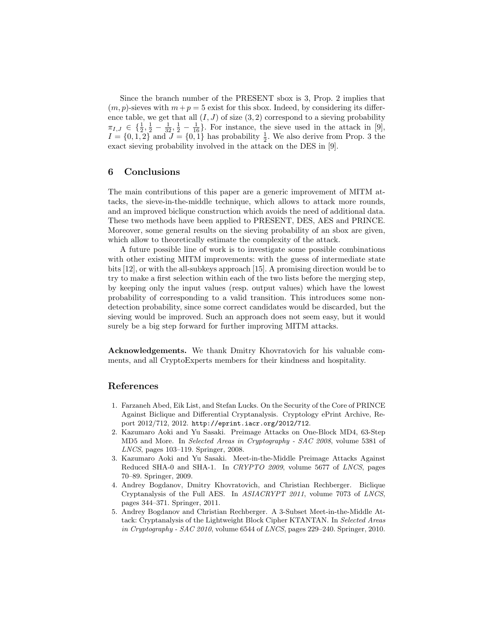Since the branch number of the PRESENT sbox is 3, Prop. 2 implies that  $(m, p)$ -sieves with  $m+p=5$  exist for this sbox. Indeed, by considering its difference table, we get that all  $(I, J)$  of size  $(3, 2)$  correspond to a sieving probability  $\pi_{I,J} \in \{\frac{1}{2}, \frac{1}{2} - \frac{1}{32}, \frac{1}{2} - \frac{1}{16}\}.$  For instance, the sieve used in the attack in [9],  $I = \{0, 1, 2\}$  and  $J = \{0, 1\}$  has probability  $\frac{1}{2}$ . We also derive from Prop. 3 the exact sieving probability involved in the attack on the DES in [9].

## 6 Conclusions

The main contributions of this paper are a generic improvement of MITM attacks, the sieve-in-the-middle technique, which allows to attack more rounds, and an improved biclique construction which avoids the need of additional data. These two methods have been applied to PRESENT, DES, AES and PRINCE. Moreover, some general results on the sieving probability of an sbox are given, which allow to theoretically estimate the complexity of the attack.

A future possible line of work is to investigate some possible combinations with other existing MITM improvements: with the guess of intermediate state bits [12], or with the all-subkeys approach [15]. A promising direction would be to try to make a first selection within each of the two lists before the merging step, by keeping only the input values (resp. output values) which have the lowest probability of corresponding to a valid transition. This introduces some nondetection probability, since some correct candidates would be discarded, but the sieving would be improved. Such an approach does not seem easy, but it would surely be a big step forward for further improving MITM attacks.

Acknowledgements. We thank Dmitry Khovratovich for his valuable comments, and all CryptoExperts members for their kindness and hospitality.

### References

- 1. Farzaneh Abed, Eik List, and Stefan Lucks. On the Security of the Core of PRINCE Against Biclique and Differential Cryptanalysis. Cryptology ePrint Archive, Report 2012/712, 2012. http://eprint.iacr.org/2012/712.
- 2. Kazumaro Aoki and Yu Sasaki. Preimage Attacks on One-Block MD4, 63-Step MD5 and More. In Selected Areas in Cryptography - SAC 2008, volume 5381 of LNCS, pages 103–119. Springer, 2008.
- 3. Kazumaro Aoki and Yu Sasaki. Meet-in-the-Middle Preimage Attacks Against Reduced SHA-0 and SHA-1. In CRYPTO 2009, volume 5677 of LNCS, pages 70–89. Springer, 2009.
- 4. Andrey Bogdanov, Dmitry Khovratovich, and Christian Rechberger. Biclique Cryptanalysis of the Full AES. In ASIACRYPT 2011, volume 7073 of LNCS, pages 344–371. Springer, 2011.
- 5. Andrey Bogdanov and Christian Rechberger. A 3-Subset Meet-in-the-Middle Attack: Cryptanalysis of the Lightweight Block Cipher KTANTAN. In Selected Areas in Cryptography - SAC 2010, volume 6544 of LNCS, pages 229–240. Springer, 2010.